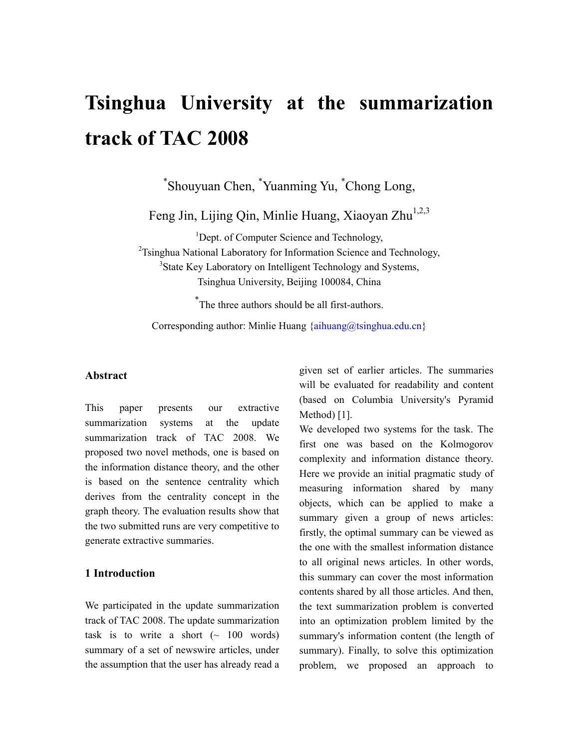# **Tsinghua University at the summarization track of TAC 2008**

\* Shouyuan Chen, \* Yuanming Yu, \* Chong Long,

Feng Jin, Lijing Qin, Minlie Huang, Xiaoyan Zhu<sup>1,2,3</sup>

<sup>1</sup>Dept. of Computer Science and Technology, <sup>2</sup>Tsinghua National Laboratory for Information Science and Technology, <sup>3</sup>State Key Laboratory on Intelligent Technology and Systems, Tsinghua University, Beijing 100084, China

\* The three authors should be all first-authors.

Corresponding author: Minlie Huang  $\{a_i\}$  huang  $\{a_i\}$  and  $\{a_i\}$ 

#### **Abstract**

This paper presents our extractive summarization systems at the update summarization track of TAC 2008. We proposed two novel methods, one is based on the information distance theory, and the other is based on the sentence centrality which derives from the centrality concept in the graph theory. The evaluation results show that the two submitted runs are very competitive to generate extractive summaries.

### **1 Introduction**

We participated in the update summarization track of TAC 2008. The update summarization task is to write a short  $(\sim 100 \text{ words})$ summary of a set of newswire articles, under the assumption that the user has already read a given set of earlier articles. The summaries will be evaluated for readability and content (based on Columbia University's Pyramid Method) [1].

We developed two systems for the task. The first one was based on the Kolmogorov complexity and information distance theory. Here we provide an initial pragmatic study of measuring information shared by many objects, which can be applied to make a summary given a group of news articles: firstly, the optimal summary can be viewed as the one with the smallest information distance to all original news articles. In other words, this summary can cover the most information contents shared by all those articles. And then, the text summarization problem is converted into an optimization problem limited by the summary's information content (the length of summary). Finally, to solve this optimization problem, we proposed an approach to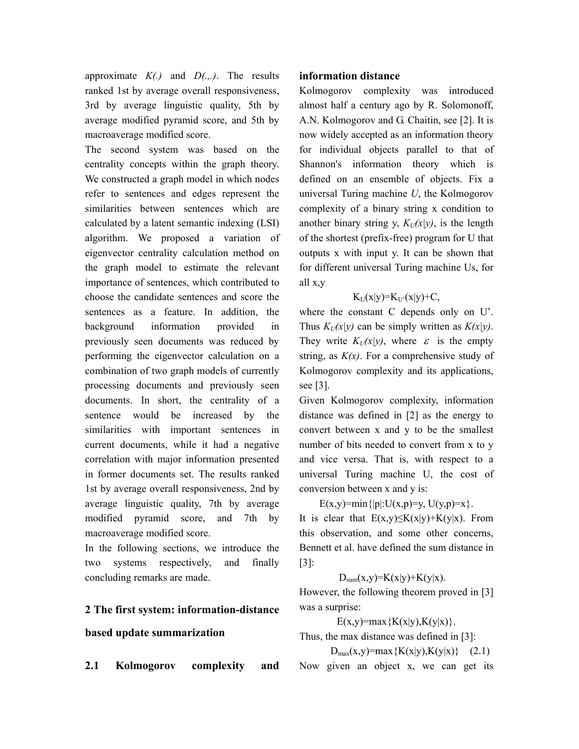approximate *K(.)* and *D(.,.)*. The results ranked 1st by average overall responsiveness, 3rd by average linguistic quality, 5th by average modified pyramid score, and 5th by macroaverage modified score.

The second system was based on the centrality concepts within the graph theory. We constructed a graph model in which nodes refer to sentences and edges represent the similarities between sentences which are calculated by a latent semantic indexing (LSI) algorithm. We proposed a variation of eigenvector centrality calculation method on the graph model to estimate the relevant importance of sentences, which contributed to choose the candidate sentences and score the sentences as a feature. In addition, the background information provided in previously seen documents was reduced by performing the eigenvector calculation on a combination of two graph models of currently processing documents and previously seen documents. In short, the centrality of a sentence would be increased by the similarities with important sentences in current documents, while it had a negative correlation with major information presented in former documents set. The results ranked 1st by average overall responsiveness, 2nd by average linguistic quality, 7th by average modified pyramid score, and 7th by macroaverage modified score.

In the following sections, we introduce the two systems respectively, and finally concluding remarks are made.

# **2 The first system: information-distance**

#### **based update summarization**

**2.1 Kolmogorov complexity and** 

#### **information distance**

Kolmogorov complexity was introduced almost half a century ago by R. Solomonoff, A.N. Kolmogorov and G. Chaitin, see [2]. It is now widely accepted as an information theory for individual objects parallel to that of Shannon's information theory which is defined on an ensemble of objects. Fix a universal Turing machine *U*, the Kolmogorov complexity of a binary string x condition to another binary string y,  $K_U(x|y)$ , is the length of the shortest (prefix-free) program for U that outputs x with input y. It can be shown that for different universal Turing machine Us, for all x,y

#### $K_U(x|y)=K_U'(x|y)+C$ ,

where the constant C depends only on U'. Thus  $K_U(x|y)$  can be simply written as  $K(x|y)$ . They write  $K_U(x|y)$ , where  $\varepsilon$  is the empty string, as  $K(x)$ . For a comprehensive study of Kolmogorov complexity and its applications, see [3].

Given Kolmogorov complexity, information distance was defined in [2] as the energy to convert between x and y to be the smallest number of bits needed to convert from x to y and vice versa. That is, with respect to a universal Turing machine U, the cost of conversion between x and y is:

 $E(x,y) = min\{|p|: U(x,p)=y, U(y,p)=x\}.$ It is clear that  $E(x,y) \le K(x|y) + K(y|x)$ . From this observation, and some other concerns, Bennett et al. have defined the sum distance in [3]:

# $D_{sum}(x,y)=K(x|y)+K(y|x).$

However, the following theorem proved in [3] was a surprise:

### $E(x,y) = max\{K(x|y), K(y|x)\}.$

Thus, the max distance was defined in [3]:

 $D_{max}(x,y) = max\{K(x|y),K(y|x)\}$  (2.1) Now given an object x, we can get its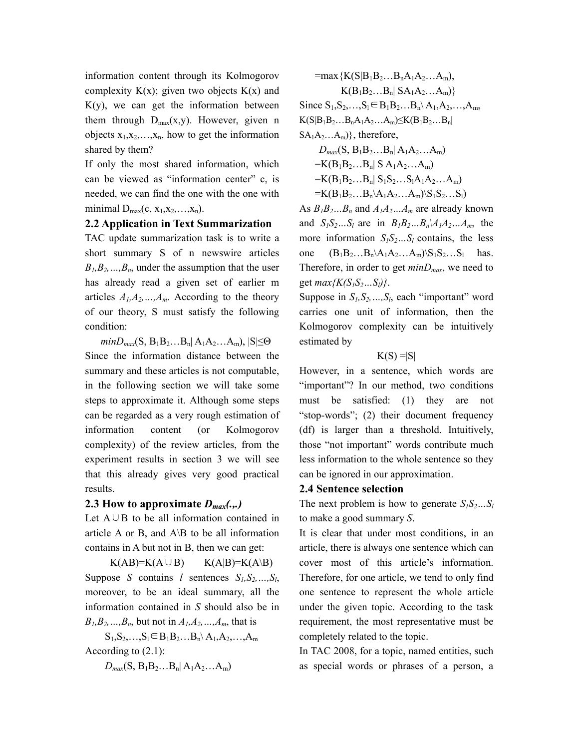information content through its Kolmogorov complexity  $K(x)$ ; given two objects  $K(x)$  and  $K(y)$ , we can get the information between them through  $D_{max}(x,y)$ . However, given n objects  $x_1, x_2, \ldots, x_n$ , how to get the information shared by them?

If only the most shared information, which can be viewed as "information center" c, is needed, we can find the one with the one with minimal  $D_{max}(c, x_1, x_2, \ldots, x_n)$ .

# **2.2 Application in Text Summarization**

TAC update summarization task is to write a short summary S of n newswire articles  $B_1, B_2, \ldots, B_n$ , under the assumption that the user has already read a given set of earlier m articles  $A_1, A_2, \ldots, A_m$ . According to the theory of our theory, S must satisfy the following condition:

 $minD_{max}(S, B_1B_2...B_n| A_1A_2...A_m), |S| \leq \Theta$ Since the information distance between the summary and these articles is not computable, in the following section we will take some steps to approximate it. Although some steps can be regarded as a very rough estimation of information content (or Kolmogorov complexity) of the review articles, from the experiment results in section 3 we will see that this already gives very good practical results.

# **2.3 How to approximate** *Dmax(.,.)*

Let A∪B to be all information contained in article A or B, and  $A\$  to be all information contains in A but not in B, then we can get:

 $K(AB)=K(A\cup B)$   $K(A|B)=K(A\setminus B)$ Suppose *S* contains *l* sentences  $S_l, S_2, \ldots, S_l$ , moreover, to be an ideal summary, all the information contained in *S* should also be in  $B_1, B_2, ..., B_n$ , but not in  $A_1, A_2, ..., A_m$ , that is

 $S_1, S_2, \ldots, S_l \in B_1B_2 \ldots B_n \backslash A_1, A_2, \ldots, A_m$ According to (2.1):

 $D_{max}(S, B_1B_2...B_n| A_1A_2...A_m)$ 

$$
= max \{ K(S|B_1B_2...B_nA_1A_2...A_m),
$$
  
\n
$$
K(B_1B_2...B_n | SA_1A_2...A_m) \}
$$
  
\nSince S<sub>1</sub>,S<sub>2</sub>,...,S<sub>1</sub>  $\in B_1B_2...B_n \setminus A_1, A_2, ..., A_m,$   
\n
$$
K(S|B_1B_2...B_nA_1A_2...A_m) \le K(B_1B_2...B_n |
$$

 $SA<sub>1</sub>A<sub>2</sub>...A<sub>m</sub>)$ , therefore,

$$
D_{max}(S, B_1B_2...B_n| A_1A_2...A_m)
$$
  
=K(B<sub>1</sub>B<sub>2</sub>...B<sub>n</sub>| S A<sub>1</sub>A<sub>2</sub>...A<sub>m</sub>)  
=K(B<sub>1</sub>B<sub>2</sub>...B<sub>n</sub>| S<sub>1</sub>S<sub>2</sub>...S<sub>1</sub>A<sub>1</sub>A<sub>2</sub>...A<sub>m</sub>)  
=K(B<sub>1</sub>B<sub>2</sub>...B<sub>n</sub>\A<sub>1</sub>A<sub>2</sub>...A<sub>m</sub>)\S<sub>1</sub>S<sub>2</sub>...S<sub>1</sub>)

As *B1B2…Bn* and *A1A2…Am* are already known and  $S_lS_2...S_l$  are in  $B_lB_2...B_n\backslash A_lA_2...A_m$ , the more information  $S_1S_2...S_l$  contains, the less one  $(B_1B_2...B_n|A_1A_2...A_m)\setminus S_1S_2...S_1$  has. Therefore, in order to get *minDmax*, we need to get  $max{K(S<sub>1</sub>S<sub>2</sub>...S<sub>l</sub>)}$ .

Suppose in *S1,S2,…,Sl*, each "important" word carries one unit of information, then the Kolmogorov complexity can be intuitively estimated by

#### $K(S) = |S|$

However, in a sentence, which words are "important"? In our method, two conditions must be satisfied: (1) they are not "stop-words"; (2) their document frequency (df) is larger than a threshold. Intuitively, those "not important" words contribute much less information to the whole sentence so they can be ignored in our approximation.

# **2.4 Sentence selection**

The next problem is how to generate  $S_lS_2...S_l$ to make a good summary *S*.

It is clear that under most conditions, in an article, there is always one sentence which can cover most of this article's information. Therefore, for one article, we tend to only find one sentence to represent the whole article under the given topic. According to the task requirement, the most representative must be completely related to the topic.

In TAC 2008, for a topic, named entities, such as special words or phrases of a person, a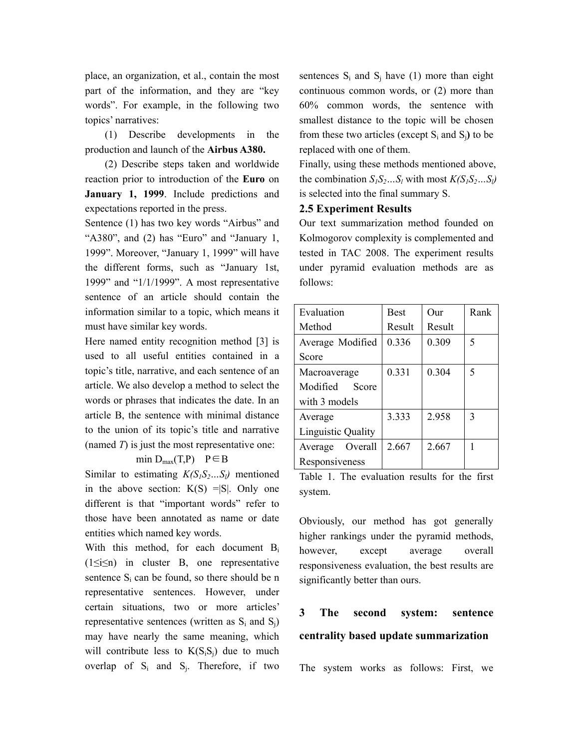place, an organization, et al., contain the most part of the information, and they are "key words". For example, in the following two topics' narratives:

(1) Describe developments in the production and launch of the **Airbus A380.**

(2) Describe steps taken and worldwide reaction prior to introduction of the **Euro** on **January 1, 1999**. Include predictions and expectations reported in the press.

Sentence (1) has two key words "Airbus" and "A380", and  $(2)$  has "Euro" and "January 1, 1999". Moreover, "January 1, 1999" will have the different forms, such as "January 1st, 1999" and "1/1/1999". A most representative sentence of an article should contain the information similar to a topic, which means it must have similar key words.

Here named entity recognition method [3] is used to all useful entities contained in a topic's title, narrative, and each sentence of an article. We also develop a method to select the words or phrases that indicates the date. In an article B, the sentence with minimal distance to the union of its topic's title and narrative (named *T*) is just the most representative one:

min  $D_{max}(T,P)$   $P \in B$ 

Similar to estimating  $K(S_1S_2...S_l)$  mentioned in the above section:  $K(S) = |S|$ . Only one different is that "important words" refer to those have been annotated as name or date entities which named key words.

With this method, for each document B<sub>i</sub>  $(1 \le i \le n)$  in cluster B, one representative sentence  $S_i$  can be found, so there should be n representative sentences. However, under certain situations, two or more articles' representative sentences (written as  $S_i$  and  $S_j$ ) may have nearly the same meaning, which will contribute less to  $K(S_iS_j)$  due to much overlap of  $S_i$  and  $S_j$ . Therefore, if two

sentences  $S_i$  and  $S_j$  have (1) more than eight continuous common words, or (2) more than 60% common words, the sentence with smallest distance to the topic will be chosen from these two articles (except  $S_i$  and  $S_j$ ) to be replaced with one of them.

Finally, using these methods mentioned above, the combination  $S_lS_2...S_l$  with most  $K(S_lS_2...S_l)$ is selected into the final summary S.

# **2.5 Experiment Results**

Our text summarization method founded on Kolmogorov complexity is complemented and tested in TAC 2008. The experiment results under pyramid evaluation methods are as follows:

| Evaluation                | <b>Best</b> | Our    | Rank |
|---------------------------|-------------|--------|------|
| Method                    | Result      | Result |      |
| Average Modified          | 0.336       | 0.309  | 5    |
| Score                     |             |        |      |
| Macroaverage              | 0.331       | 0.304  | 5    |
| Score<br>Modified         |             |        |      |
| with 3 models             |             |        |      |
| Average                   | 3.333       | 2.958  | 3    |
| <b>Linguistic Quality</b> |             |        |      |
| Average<br>Overall        | 2.667       | 2.667  |      |
| Responsiveness            |             |        |      |

Table 1. The evaluation results for the first system.

Obviously, our method has got generally higher rankings under the pyramid methods, however, except average overall responsiveness evaluation, the best results are significantly better than ours.

# **3 The second system: sentence centrality based update summarization**

The system works as follows: First, we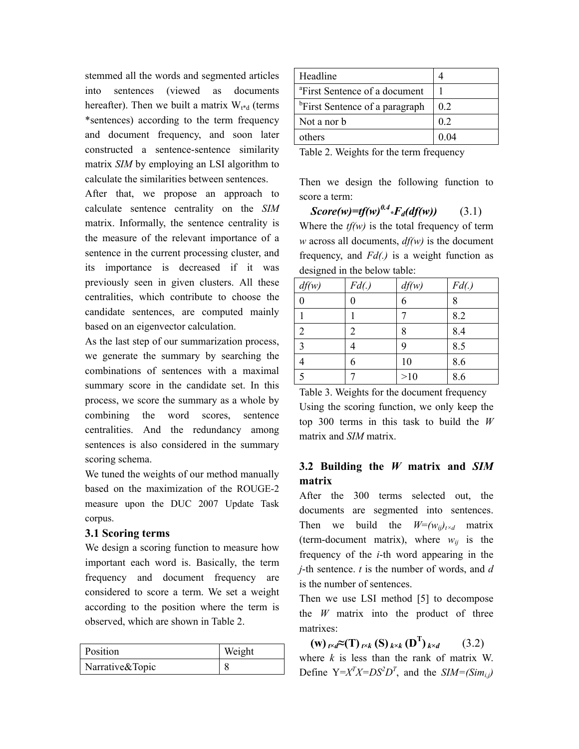stemmed all the words and segmented articles into sentences (viewed as documents hereafter). Then we built a matrix  $W_{t*d}$  (terms \*sentences) according to the term frequency and document frequency, and soon later constructed a sentence-sentence similarity matrix *SIM* by employing an LSI algorithm to calculate the similarities between sentences.

After that, we propose an approach to calculate sentence centrality on the *SIM* matrix. Informally, the sentence centrality is the measure of the relevant importance of a sentence in the current processing cluster, and its importance is decreased if it was previously seen in given clusters. All these centralities, which contribute to choose the candidate sentences, are computed mainly based on an eigenvector calculation.

As the last step of our summarization process, we generate the summary by searching the combinations of sentences with a maximal summary score in the candidate set. In this process, we score the summary as a whole by combining the word scores, sentence centralities. And the redundancy among sentences is also considered in the summary scoring schema.

We tuned the weights of our method manually based on the maximization of the ROUGE-2 measure upon the DUC 2007 Update Task corpus.

# **3.1 Scoring terms**

We design a scoring function to measure how important each word is. Basically, the term frequency and document frequency are considered to score a term. We set a weight according to the position where the term is observed, which are shown in Table 2.

| Position        | Weight |
|-----------------|--------|
| Narrative&Topic |        |

| Headline                                   |                |
|--------------------------------------------|----------------|
| <sup>a</sup> First Sentence of a document  |                |
| <sup>b</sup> First Sentence of a paragraph | 0 <sub>2</sub> |
| Not a nor b                                | 0 <sub>2</sub> |
| others                                     | 0.04           |

Table 2. Weights for the term frequency

Then we design the following function to score a term:

 $Score(w)=tf(w)^{0.4} *F_d(df(w))$  (3.1) Where the  $tf(w)$  is the total frequency of term *w* across all documents, *df(w)* is the document frequency, and *Fd(.)* is a weight function as designed in the below table:

| df(w) | Fd() | df(w) | Fd() |
|-------|------|-------|------|
|       |      | 6     | 8    |
|       |      |       | 8.2  |
|       | 2    | 8     | 8.4  |
| 3     |      | 9     | 8.5  |
|       | 6    | 10    | 8.6  |
| 5     |      | >10   | 8.6  |

Table 3. Weights for the document frequency Using the scoring function, we only keep the top 300 terms in this task to build the *W* matrix and *SIM* matrix.

# **3.2 Building the** *W* **matrix and** *SIM* **matrix**

After the 300 terms selected out, the documents are segmented into sentences. Then we build the  $W=(w_{ij})_{i \times d}$  matrix (term-document matrix), where  $w_{ii}$  is the frequency of the *i*-th word appearing in the *j*-th sentence. *t* is the number of words, and *d* is the number of sentences.

Then we use LSI method [5] to decompose the *W* matrix into the product of three matrixes:

 $(W)$ *t×d***<sup>** $\approx$ **</sup>(T)***t×k***(S)***k×k***<b>(D<sup>T</sup>)***k×d*  $(3.2)$ where *k* is less than the rank of matrix W. Define  $Y = X^T X = DS^2 D^T$ , and the  $SIM = (Sim_{i,j})$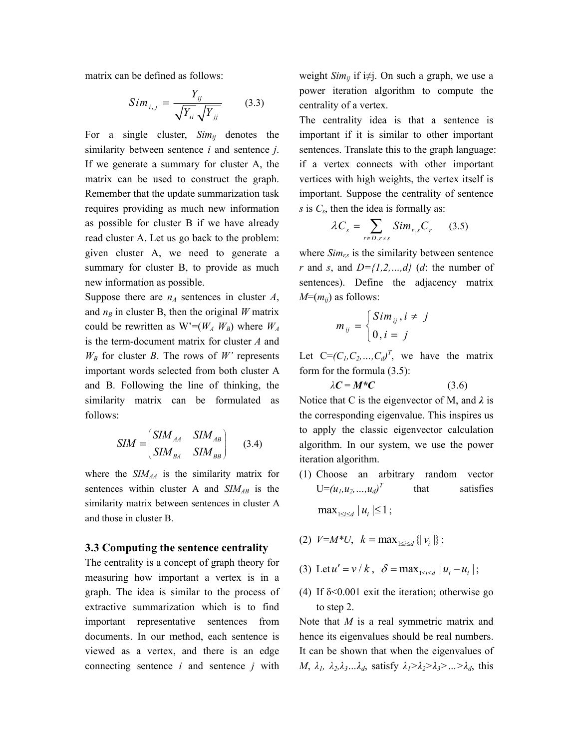matrix can be defined as follows:

$$
Sim_{i,j} = \frac{Y_{ij}}{\sqrt{Y_{ii}}\sqrt{Y_{jj}}}
$$
 (3.3)

For a single cluster,  $Sim_{ii}$  denotes the similarity between sentence *i* and sentence *j*. If we generate a summary for cluster A, the matrix can be used to construct the graph. Remember that the update summarization task requires providing as much new information as possible for cluster B if we have already read cluster A. Let us go back to the problem: given cluster A, we need to generate a summary for cluster B, to provide as much new information as possible.

Suppose there are  $n_A$  sentences in cluster  $A$ , and  $n_B$  in cluster B, then the original *W* matrix could be rewritten as  $W = (W_A W_B)$  where  $W_A$ is the term-document matrix for cluster *A* and  $W_B$  for cluster *B*. The rows of *W'* represents important words selected from both cluster A and B. Following the line of thinking, the similarity matrix can be formulated as follows:

$$
SIM = \begin{pmatrix} SIM_{AA} & SIM_{AB} \\ SIM_{BA} & SIM_{BB} \end{pmatrix}
$$
 (3.4)

where the *SIMAA* is the similarity matrix for sentences within cluster A and *SIM<sub>AB</sub>* is the similarity matrix between sentences in cluster A and those in cluster B.

### **3.3 Computing the sentence centrality**

The centrality is a concept of graph theory for measuring how important a vertex is in a graph. The idea is similar to the process of extractive summarization which is to find important representative sentences from documents. In our method, each sentence is viewed as a vertex, and there is an edge connecting sentence *i* and sentence *j* with weight *Sim<sub>ij</sub>* if i≠j. On such a graph, we use a power iteration algorithm to compute the centrality of a vertex.

The centrality idea is that a sentence is important if it is similar to other important sentences. Translate this to the graph language: if a vertex connects with other important vertices with high weights, the vertex itself is important. Suppose the centrality of sentence *s* is *Cs*, then the idea is formally as:

$$
\lambda C_s = \sum_{r \in D, r \neq s} Sim_{r,s} C_r \qquad (3.5)
$$

where  $Sim_{rs}$  is the similarity between sentence *r* and *s*, and  $D=\{1,2,\ldots,d\}$  (*d*: the number of sentences). Define the adjacency matrix  $M=(m_{ii})$  as follows:

$$
m_{ij} = \begin{cases} Sim_{ij}, i \neq j \\ 0, i = j \end{cases}
$$

 $λC = M*C$ 

Let  $C=(C_1, C_2, ..., C_d)^T$ , we have the matrix form for the formula (3.5):

$$
(3.6)
$$

Notice that C is the eigenvector of M, and *λ* is the corresponding eigenvalue. This inspires us to apply the classic eigenvector calculation algorithm. In our system, we use the power iteration algorithm.

- (1) Choose an arbitrary random vector  $U=(u_1, u_2, ..., u_d)^T$  that satisfies  $\max_{1 \le i \le d} |u_i| \le 1$ ;
- (2)  $V=M*U$ ,  $k = \max_{1 \leq i \leq d} \{ |v_i| \};$
- (3) Let  $u' = v/k$ ,  $\delta = \max_{1 \le i \le d} |u_i u_i|$ ;
- (4) If  $\delta$ <0.001 exit the iteration; otherwise go to step 2.

Note that *M* is a real symmetric matrix and hence its eigenvalues should be real numbers. It can be shown that when the eigenvalues of  $M$ ,  $\lambda_1$ ,  $\lambda_2$ , $\lambda_3$ *…*, $\lambda_d$ , satisfy  $\lambda_1 > \lambda_2 > \lambda_3 > ... > \lambda_d$ , this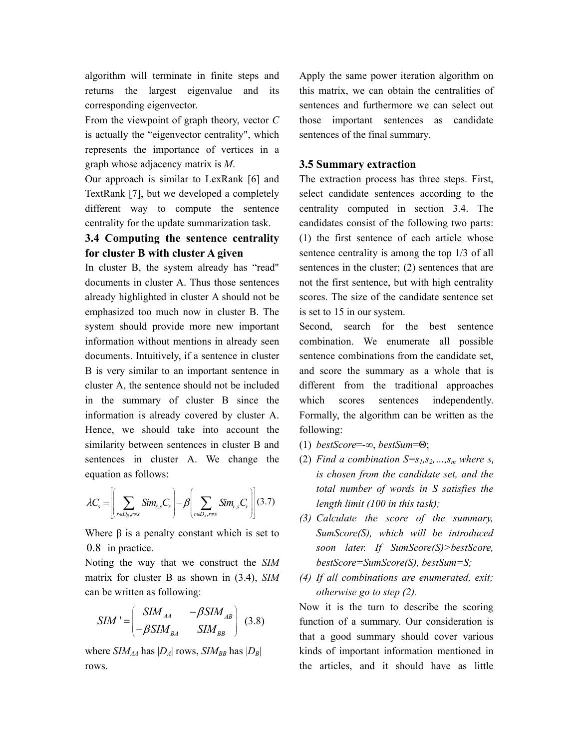algorithm will terminate in finite steps and returns the largest eigenvalue and its corresponding eigenvector.

From the viewpoint of graph theory, vector *C*  is actually the "eigenvector centrality", which represents the importance of vertices in a graph whose adjacency matrix is *M*.

Our approach is similar to LexRank [6] and TextRank [7], but we developed a completely different way to compute the sentence centrality for the update summarization task.

# **3.4 Computing the sentence centrality for cluster B with cluster A given**

In cluster B, the system already has "read" documents in cluster A. Thus those sentences already highlighted in cluster A should not be emphasized too much now in cluster B. The system should provide more new important information without mentions in already seen documents. Intuitively, if a sentence in cluster B is very similar to an important sentence in cluster A, the sentence should not be included in the summary of cluster B since the information is already covered by cluster A. Hence, we should take into account the similarity between sentences in cluster B and sentences in cluster A. We change the equation as follows:

$$
\lambda C_s = \left[ \left( \sum_{r \in D_B, r \neq s} Sim_{r,s} C_r \right) - \beta \left( \sum_{r \in D_A, r \neq s} Sim_{r,s} C_r \right) \right] (3.7)
$$

Where  $\beta$  is a penalty constant which is set to 0.8 in practice.

Noting the way that we construct the *SIM* matrix for cluster B as shown in (3.4), *SIM* can be written as following:

$$
SIM' = \begin{pmatrix} SIM_{AA} & -\beta SIM_{AB} \\ -\beta SIM_{BA} & SIM_{BB} \end{pmatrix} (3.8)
$$

where  $SIM_{AA}$  has  $|D_A|$  rows,  $SIM_{BB}$  has  $|D_B|$ rows.

Apply the same power iteration algorithm on this matrix, we can obtain the centralities of sentences and furthermore we can select out those important sentences as candidate sentences of the final summary.

# **3.5 Summary extraction**

The extraction process has three steps. First, select candidate sentences according to the centrality computed in section 3.4. The candidates consist of the following two parts: (1) the first sentence of each article whose sentence centrality is among the top 1/3 of all sentences in the cluster; (2) sentences that are not the first sentence, but with high centrality scores. The size of the candidate sentence set is set to 15 in our system.

Second, search for the best sentence combination. We enumerate all possible sentence combinations from the candidate set, and score the summary as a whole that is different from the traditional approaches which scores sentences independently. Formally, the algorithm can be written as the following:

- (1) *bestScore*=-∞, *bestSum*=Θ;
- (2) *Find a combination*  $S=s_1,s_2,...,s_m$  *where*  $s_i$ *is chosen from the candidate set, and the total number of words in S satisfies the length limit (100 in this task);*
- *(3) Calculate the score of the summary, SumScore(S), which will be introduced soon later. If SumScore(S)>bestScore, bestScore=SumScore(S), bestSum=S;*
- *(4) If all combinations are enumerated, exit; otherwise go to step (2).*

Now it is the turn to describe the scoring function of a summary. Our consideration is that a good summary should cover various kinds of important information mentioned in the articles, and it should have as little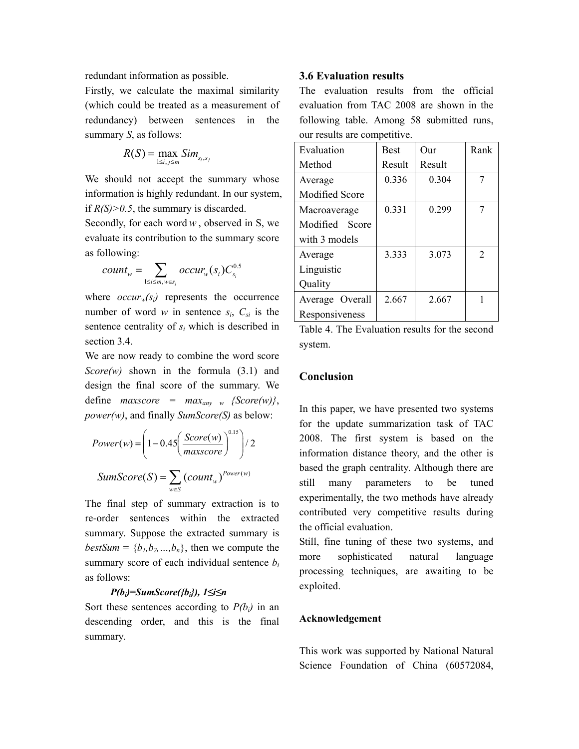redundant information as possible.

Firstly, we calculate the maximal similarity (which could be treated as a measurement of redundancy) between sentences in the summary *S*, as follows:

$$
R(S) = \max_{1 \le i,j \le m} Sim_{s_i,s_j}
$$

We should not accept the summary whose information is highly redundant. In our system, if  $R(S) > 0.5$ , the summary is discarded.

Secondly, for each word  $w$ , observed in S, we evaluate its contribution to the summary score as following:

$$
count_w = \sum_{1 \le i \le m, w \in s_i} occur_w(s_i)C_{s_i}^{0.5}
$$

where  $occur_w(s_i)$  represents the occurrence number of word *w* in sentence  $s_i$ ,  $C_{si}$  is the sentence centrality of *si* which is described in section 3.4.

We are now ready to combine the word score *Score(w)* shown in the formula (3.1) and design the final score of the summary. We define *maxscore* =  $max_{amv}$  *s* {Score(w)}, *power(w)*, and finally *SumScore(S)* as below:

$$
Power(w) = \left(1 - 0.45 \left(\frac{Score(w)}{maxscore}\right)^{0.15}\right) / 2
$$

$$
SumScore(S) = \sum_{w \in S} (count_w)^{Power(w)}
$$

The final step of summary extraction is to re-order sentences within the extracted summary. Suppose the extracted summary is *bestSum* =  ${b_1, b_2, ..., b_n}$ , then we compute the summary score of each individual sentence *bi* as follows:

#### *P(bi)=SumScore({bi}), 1≤i≤n*

Sort these sentences according to  $P(b_i)$  in an descending order, and this is the final summary.

#### **3.6 Evaluation results**

The evaluation results from the official evaluation from TAC 2008 are shown in the following table. Among 58 submitted runs, our results are competitive.

| Evaluation            | <b>Best</b> | Our    | Rank |
|-----------------------|-------------|--------|------|
| Method                | Result      | Result |      |
| Average               | 0.336       | 0.304  | 7    |
| <b>Modified Score</b> |             |        |      |
| Macroaverage          | 0.331       | 0.299  | 7    |
| Modified Score        |             |        |      |
| with 3 models         |             |        |      |
| Average               | 3.333       | 3.073  | 2    |
| Linguistic            |             |        |      |
| Quality               |             |        |      |
| Average Overall       | 2.667       | 2.667  | 1    |
| Responsiveness        |             |        |      |

Table 4. The Evaluation results for the second system.

#### **Conclusion**

In this paper, we have presented two systems for the update summarization task of TAC 2008. The first system is based on the information distance theory, and the other is based the graph centrality. Although there are still many parameters to be tuned experimentally, the two methods have already contributed very competitive results during the official evaluation.

Still, fine tuning of these two systems, and more sophisticated natural language processing techniques, are awaiting to be exploited.

#### **Acknowledgement**

This work was supported by National Natural Science Foundation of China (60572084,